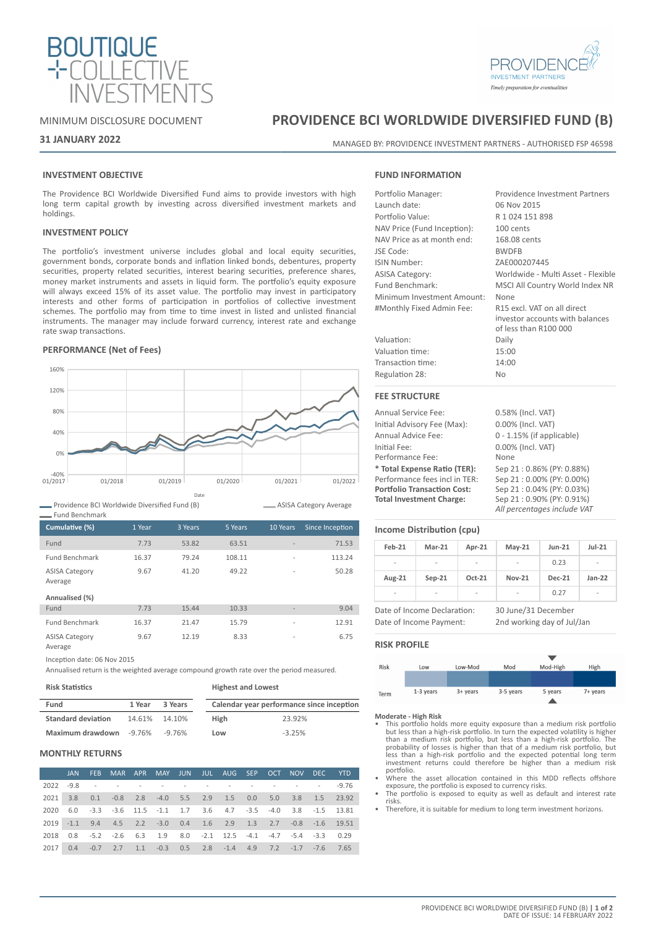

# **INVESTMENT PARTNERS** Timely preparation for eventualities

# MINIMUM DISCLOSURE DOCUMENT

# **31 JANUARY 2022**

# **PROVIDENCE BCI WORLDWIDE DIVERSIFIED FUND (B)**

MANAGED BY: PROVIDENCE INVESTMENT PARTNERS - AUTHORISED FSP 46598

# **INVESTMENT OBJECTIVE**

The Providence BCI Worldwide Diversified Fund aims to provide investors with high long term capital growth by investing across diversified investment markets and holdings.

## **INVESTMENT POLICY**

The portfolio's investment universe includes global and local equity securities, government bonds, corporate bonds and inflation linked bonds, debentures, property securities, property related securities, interest bearing securities, preference shares, money market instruments and assets in liquid form. The portfolio's equity exposure will always exceed 15% of its asset value. The portfolio may invest in participatory interests and other forms of participation in portfolios of collective investment schemes. The portfolio may from time to time invest in listed and unlisted financial instruments. The manager may include forward currency, interest rate and exchange rate swap transactions.

# **PERFORMANCE (Net of Fees)**



Providence BCI Worldwide Diversified Fund (B)

| Cumulative (%)                   | 1 Year | 3 Years | 5 Years | 10 Years                 | Since Inception |
|----------------------------------|--------|---------|---------|--------------------------|-----------------|
|                                  |        |         |         |                          |                 |
| Fund                             | 7.73   | 53.82   | 63.51   |                          | 71.53           |
| <b>Fund Benchmark</b>            | 16.37  | 79.24   | 108.11  |                          | 113.24          |
| <b>ASISA Category</b><br>Average | 9.67   | 41.20   | 49.22   |                          | 50.28           |
| Annualised (%)                   |        |         |         |                          |                 |
| Fund                             | 7.73   | 15.44   | 10.33   |                          | 9.04            |
| <b>Fund Benchmark</b>            | 16.37  | 21.47   | 15.79   | $\overline{\phantom{a}}$ | 12.91           |
| <b>ASISA Category</b><br>Average | 9.67   | 12.19   | 8.33    | $\overline{\phantom{a}}$ | 6.75            |

Inception date: 06 Nov 2015

Annualised return is the weighted average compound growth rate over the period measured.

| <b>Risk Statistics</b>    |        |         | <b>Highest and Lowest</b> |                                           |  |
|---------------------------|--------|---------|---------------------------|-------------------------------------------|--|
| Fund                      | 1 Year | 3 Years |                           | Calendar year performance since inception |  |
| <b>Standard deviation</b> | 14.61% | 14.10%  | <b>High</b>               | 23.92%                                    |  |
| Maximum drawdown -9.76%   |        | -9.76%  | Low                       | $-3.25%$                                  |  |

# **MONTHLY RETURNS**

|      | <b>JAN</b> | FEB. | MAR APR MAY JUN JUL AUG SEP OCT                                 |  |  |  |  | NOV DEC YTD |                                                         |
|------|------------|------|-----------------------------------------------------------------|--|--|--|--|-------------|---------------------------------------------------------|
|      |            |      |                                                                 |  |  |  |  |             |                                                         |
| 2021 |            |      |                                                                 |  |  |  |  |             | 3.8 0.1 -0.8 2.8 -4.0 5.5 2.9 1.5 0.0 5.0 3.8 1.5 23.92 |
| 2020 |            |      | 6.0 -3.3 -3.6 11.5 -1.1 1.7 3.6 4.7 -3.5 -4.0 3.8 -1.5 13.81    |  |  |  |  |             |                                                         |
|      |            |      | 2019 -1.1 9.4 4.5 2.2 -3.0 0.4 1.6 2.9 1.3 2.7 -0.8 -1.6 19.51  |  |  |  |  |             |                                                         |
| 2018 |            |      | 0.8 -5.2 -2.6 6.3 1.9 8.0 -2.1 12.5 -4.1 -4.7 -5.4 -3.3 0.29    |  |  |  |  |             |                                                         |
| 2017 | 0.4        |      | $-0.7$ 2.7 1.1 $-0.3$ 0.5 2.8 $-1.4$ 4.9 7.2 $-1.7$ $-7.6$ 7.65 |  |  |  |  |             |                                                         |

# **FUND INFORMATION**

| Portfolio Manager:          | <b>Providence Investment Partners</b>                                                   |
|-----------------------------|-----------------------------------------------------------------------------------------|
| Launch date:                | 06 Nov 2015                                                                             |
| Portfolio Value:            | R 1 024 151 898                                                                         |
| NAV Price (Fund Inception): | 100 cents                                                                               |
| NAV Price as at month end:  | 168.08 cents                                                                            |
| JSE Code:                   | <b>BWDFB</b>                                                                            |
| ISIN Number:                | ZAE000207445                                                                            |
| <b>ASISA Category:</b>      | Worldwide - Multi Asset - Flexible                                                      |
| Fund Benchmark:             | MSCI All Country World Index NR                                                         |
| Minimum Investment Amount:  | None                                                                                    |
| #Monthly Fixed Admin Fee:   | R15 excl. VAT on all direct<br>investor accounts with balances<br>of less than R100 000 |
| Valuation:                  | Daily                                                                                   |
| Valuation time:             | 15:00                                                                                   |
| Transaction time:           | 14:00                                                                                   |
| Regulation 28:              | <b>No</b>                                                                               |
| <b>FEE STRUCTURE</b>        |                                                                                         |

| <b>Annual Service Fee:</b>         | 0.58% (Incl. VAT)            |
|------------------------------------|------------------------------|
| Initial Advisory Fee (Max):        | 0.00% (Incl. VAT)            |
| Annual Advice Fee:                 | $0 - 1.15\%$ (if applicable) |
| Initial Fee:                       | 0.00% (Incl. VAT)            |
| Performance Fee:                   | None                         |
| * Total Expense Ratio (TER):       | Sep 21:0.86% (PY: 0.88%)     |
| Performance fees incl in TER:      | Sep 21:0.00% (PY: 0.00%)     |
| <b>Portfolio Transaction Cost:</b> | Sep 21:0.04% (PY: 0.03%)     |
| <b>Total Investment Charge:</b>    | Sep 21:0.90% (PY: 0.91%)     |
|                                    | All percentages include VAT  |

#### **Income Distribution (cpu)**

| Feb-21                                             | Mar-21   | Apr-21                   | $May-21$      | <b>Jun-21</b> | $Jul-21$                 |
|----------------------------------------------------|----------|--------------------------|---------------|---------------|--------------------------|
| $\overline{\phantom{a}}$                           | -        | $\overline{\phantom{a}}$ |               | 0.23          | $\overline{\phantom{a}}$ |
| Aug-21                                             | $Sep-21$ | Oct-21                   | <b>Nov-21</b> | <b>Dec-21</b> | $Jan-22$                 |
| $\overline{\phantom{a}}$                           | -        | ۰                        |               | 0.27          | -                        |
| 30 June/31 December<br>Date of Income Declaration: |          |                          |               |               |                          |

Date of Income Payment: 2nd working day of Jul/Jan

#### **RISK PROFILE**

ASISA Category Average

| Risk | Low         | Low-Mod    | Mod       | Mod-High | High     |
|------|-------------|------------|-----------|----------|----------|
|      |             |            |           |          |          |
|      |             |            |           |          |          |
| Term | $1-3$ years | $3+$ years | 3-5 years | 5 years  | 7+ years |
|      |             |            |           |          |          |

**Moderate - High Risk**

• This portfolio holds more equity exposure than a medium risk portfolio but less than a high-risk portfolio. In turn the expected volatility is higher than a medium risk portfolio, but less than a high-risk portfolio. The probability of losses is higher than that of a medium risk portfolio, but less than a high-risk portfolio and the expected potential long term investment returns could therefore be higher than a medium risk portfolio.

• Where the asset allocation contained in this MDD reflects offshore<br>exposure, the portfolio is exposed to currency risks.<br>The portfolio is exposed to equity as well as default and interest rate

risks. • Therefore, it is suitable for medium to long term investment horizons.

PROVIDENCE BCI WORLDWIDE DIVERSIFIED FUND (B) **| 1 of 2** DATE OF ISSUE: 14 FEBRUARY 2022